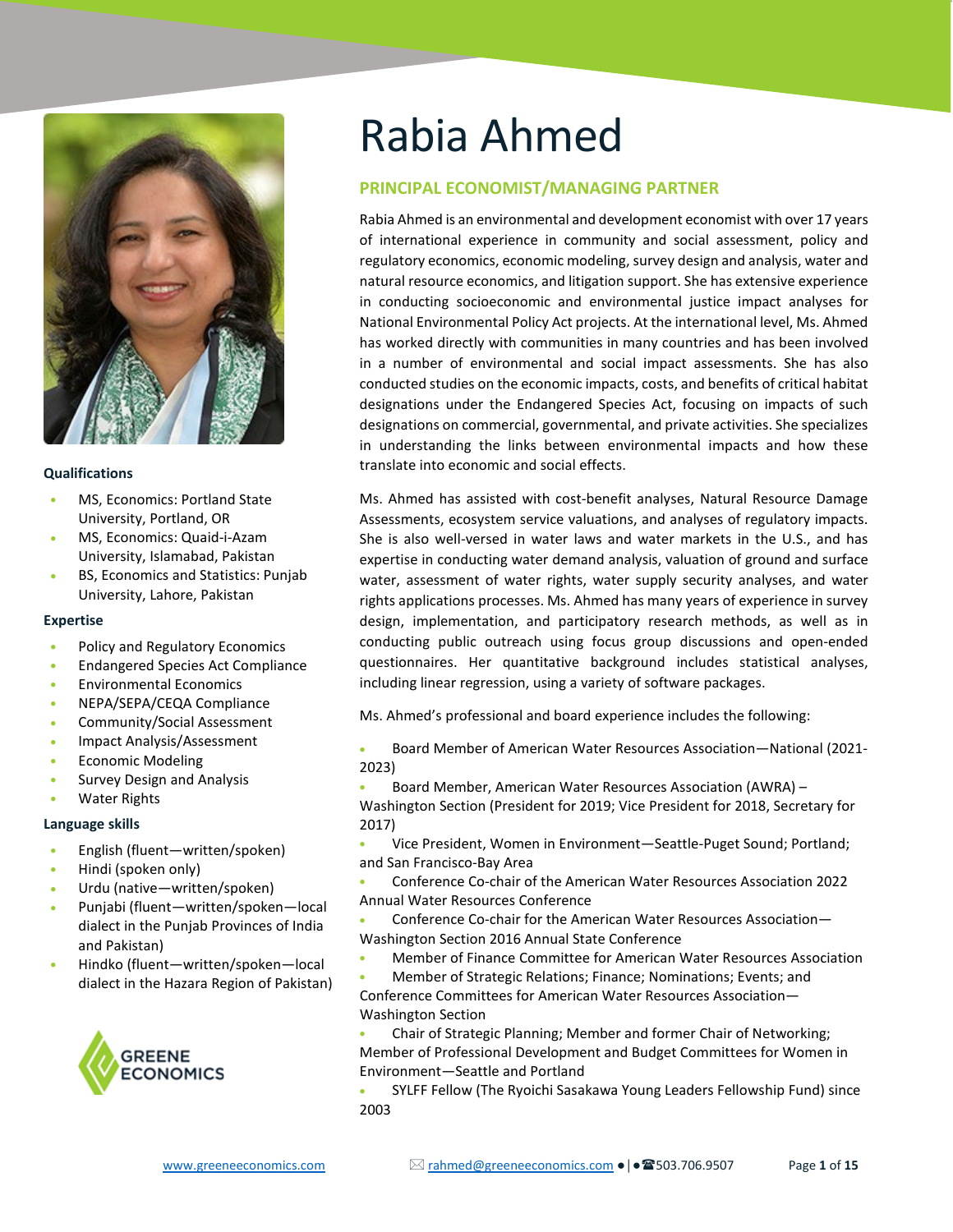

#### **Qualifications**

- MS, Economics: Portland State University, Portland, OR
- MS, Economics: Quaid-i-Azam University, Islamabad, Pakistan
- BS, Economics and Statistics: Punjab University, Lahore, Pakistan

#### **Expertise**

- Policy and Regulatory Economics
- Endangered Species Act Compliance
- Environmental Economics
- NEPA/SEPA/CEQA Compliance
- Community/Social Assessment
- Impact Analysis/Assessment
- Economic Modeling
- Survey Design and Analysis
- Water Rights

#### **Language skills**

- English (fluent—written/spoken)
- Hindi (spoken only)
- Urdu (native—written/spoken)
- Punjabi (fluent—written/spoken—local dialect in the Punjab Provinces of India and Pakistan)
- Hindko (fluent—written/spoken—local dialect in the Hazara Region of Pakistan)



# Rabia Ahmed

# **PRINCIPAL ECONOMIST/MANAGING PARTNER**

Rabia Ahmed is an environmental and development economist with over 17 years of international experience in community and social assessment, policy and regulatory economics, economic modeling, survey design and analysis, water and natural resource economics, and litigation support. She has extensive experience in conducting socioeconomic and environmental justice impact analyses for National Environmental Policy Act projects. At the international level, Ms. Ahmed has worked directly with communities in many countries and has been involved in a number of environmental and social impact assessments. She has also conducted studies on the economic impacts, costs, and benefits of critical habitat designations under the Endangered Species Act, focusing on impacts of such designations on commercial, governmental, and private activities. She specializes in understanding the links between environmental impacts and how these translate into economic and social effects.

Ms. Ahmed has assisted with cost-benefit analyses, Natural Resource Damage Assessments, ecosystem service valuations, and analyses of regulatory impacts. She is also well-versed in water laws and water markets in the U.S., and has expertise in conducting water demand analysis, valuation of ground and surface water, assessment of water rights, water supply security analyses, and water rights applications processes. Ms. Ahmed has many years of experience in survey design, implementation, and participatory research methods, as well as in conducting public outreach using focus group discussions and open-ended questionnaires. Her quantitative background includes statistical analyses, including linear regression, using a variety of software packages.

Ms. Ahmed's professional and board experience includes the following:

• Board Member of American Water Resources Association—National (2021- 2023)

• Board Member, American Water Resources Association (AWRA) –

Washington Section (President for 2019; Vice President for 2018, Secretary for 2017)

• Vice President, Women in Environment—Seattle-Puget Sound; Portland; and San Francisco-Bay Area

• Conference Co-chair of the American Water Resources Association 2022 Annual Water Resources Conference

• Conference Co-chair for the American Water Resources Association— Washington Section 2016 Annual State Conference

- Member of Finance Committee for American Water Resources Association
- Member of Strategic Relations; Finance; Nominations; Events; and Conference Committees for American Water Resources Association—
- Washington Section

• Chair of Strategic Planning; Member and former Chair of Networking; Member of Professional Development and Budget Committees for Women in Environment—Seattle and Portland

• SYLFF Fellow (The Ryoichi Sasakawa Young Leaders Fellowship Fund) since 2003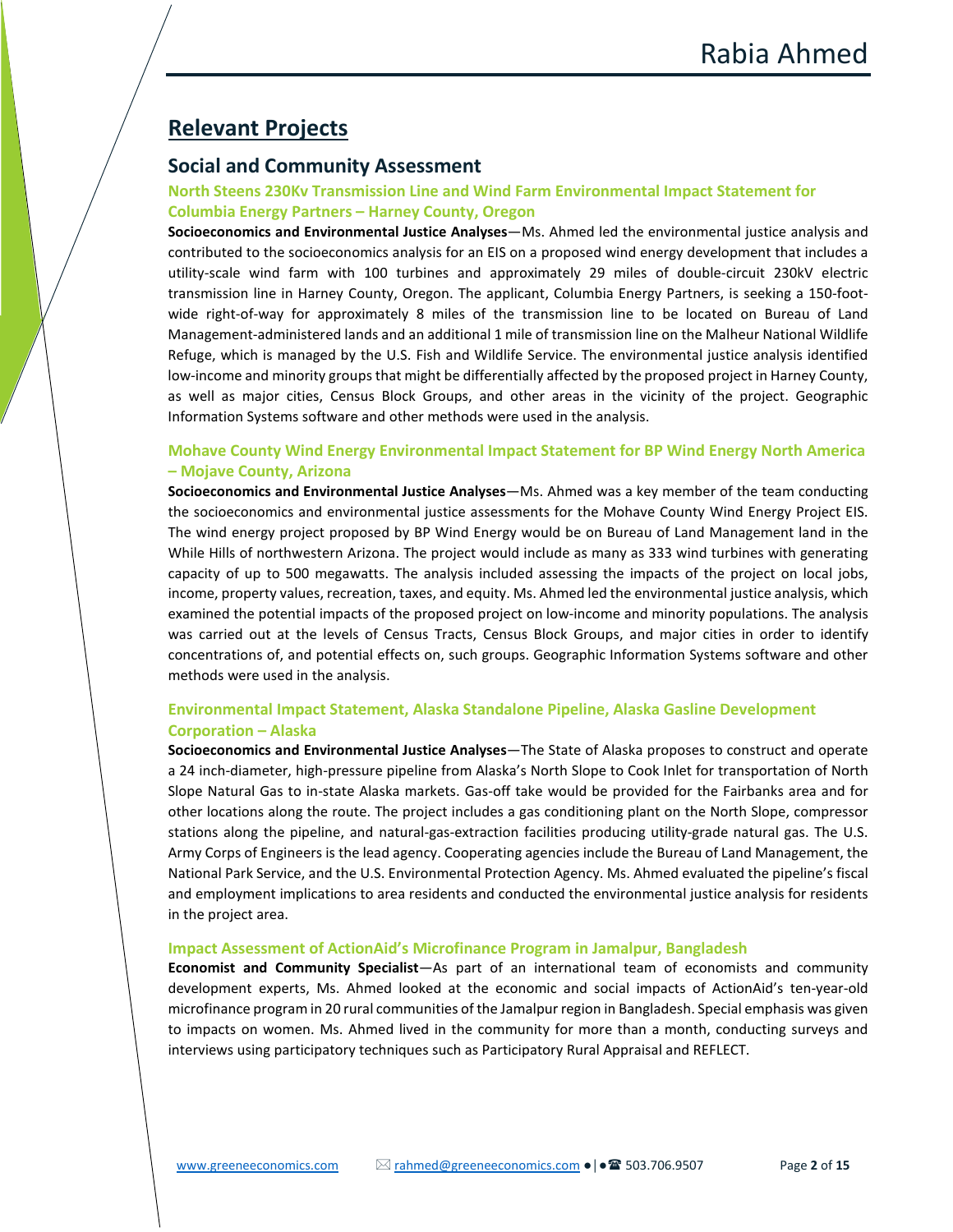# **Relevant Projects**

# **Social and Community Assessment**

# **North Steens 230Kv Transmission Line and Wind Farm Environmental Impact Statement for Columbia Energy Partners – Harney County, Oregon**

**Socioeconomics and Environmental Justice Analyses**—Ms. Ahmed led the environmental justice analysis and contributed to the socioeconomics analysis for an EIS on a proposed wind energy development that includes a utility-scale wind farm with 100 turbines and approximately 29 miles of double-circuit 230kV electric transmission line in Harney County, Oregon. The applicant, Columbia Energy Partners, is seeking a 150-footwide right-of-way for approximately 8 miles of the transmission line to be located on Bureau of Land Management-administered lands and an additional 1 mile of transmission line on the Malheur National Wildlife Refuge, which is managed by the U.S. Fish and Wildlife Service. The environmental justice analysis identified low-income and minority groups that might be differentially affected by the proposed project in Harney County, as well as major cities, Census Block Groups, and other areas in the vicinity of the project. Geographic Information Systems software and other methods were used in the analysis.

# **Mohave County Wind Energy Environmental Impact Statement for BP Wind Energy North America – Mojave County, Arizona**

**Socioeconomics and Environmental Justice Analyses**—Ms. Ahmed was a key member of the team conducting the socioeconomics and environmental justice assessments for the Mohave County Wind Energy Project EIS. The wind energy project proposed by BP Wind Energy would be on Bureau of Land Management land in the While Hills of northwestern Arizona. The project would include as many as 333 wind turbines with generating capacity of up to 500 megawatts. The analysis included assessing the impacts of the project on local jobs, income, property values, recreation, taxes, and equity. Ms. Ahmed led the environmental justice analysis, which examined the potential impacts of the proposed project on low-income and minority populations. The analysis was carried out at the levels of Census Tracts, Census Block Groups, and major cities in order to identify concentrations of, and potential effects on, such groups. Geographic Information Systems software and other methods were used in the analysis.

# **Environmental Impact Statement, Alaska Standalone Pipeline, Alaska Gasline Development Corporation – Alaska**

**Socioeconomics and Environmental Justice Analyses**—The State of Alaska proposes to construct and operate a 24 inch-diameter, high-pressure pipeline from Alaska's North Slope to Cook Inlet for transportation of North Slope Natural Gas to in-state Alaska markets. Gas-off take would be provided for the Fairbanks area and for other locations along the route. The project includes a gas conditioning plant on the North Slope, compressor stations along the pipeline, and natural-gas-extraction facilities producing utility-grade natural gas. The U.S. Army Corps of Engineers is the lead agency. Cooperating agencies include the Bureau of Land Management, the National Park Service, and the U.S. Environmental Protection Agency. Ms. Ahmed evaluated the pipeline's fiscal and employment implications to area residents and conducted the environmental justice analysis for residents in the project area.

#### **Impact Assessment of ActionAid's Microfinance Program in Jamalpur, Bangladesh**

**Economist and Community Specialist**—As part of an international team of economists and community development experts, Ms. Ahmed looked at the economic and social impacts of ActionAid's ten-year-old microfinance program in 20 rural communities of the Jamalpur region in Bangladesh. Special emphasis was given to impacts on women. Ms. Ahmed lived in the community for more than a month, conducting surveys and interviews using participatory techniques such as Participatory Rural Appraisal and REFLECT.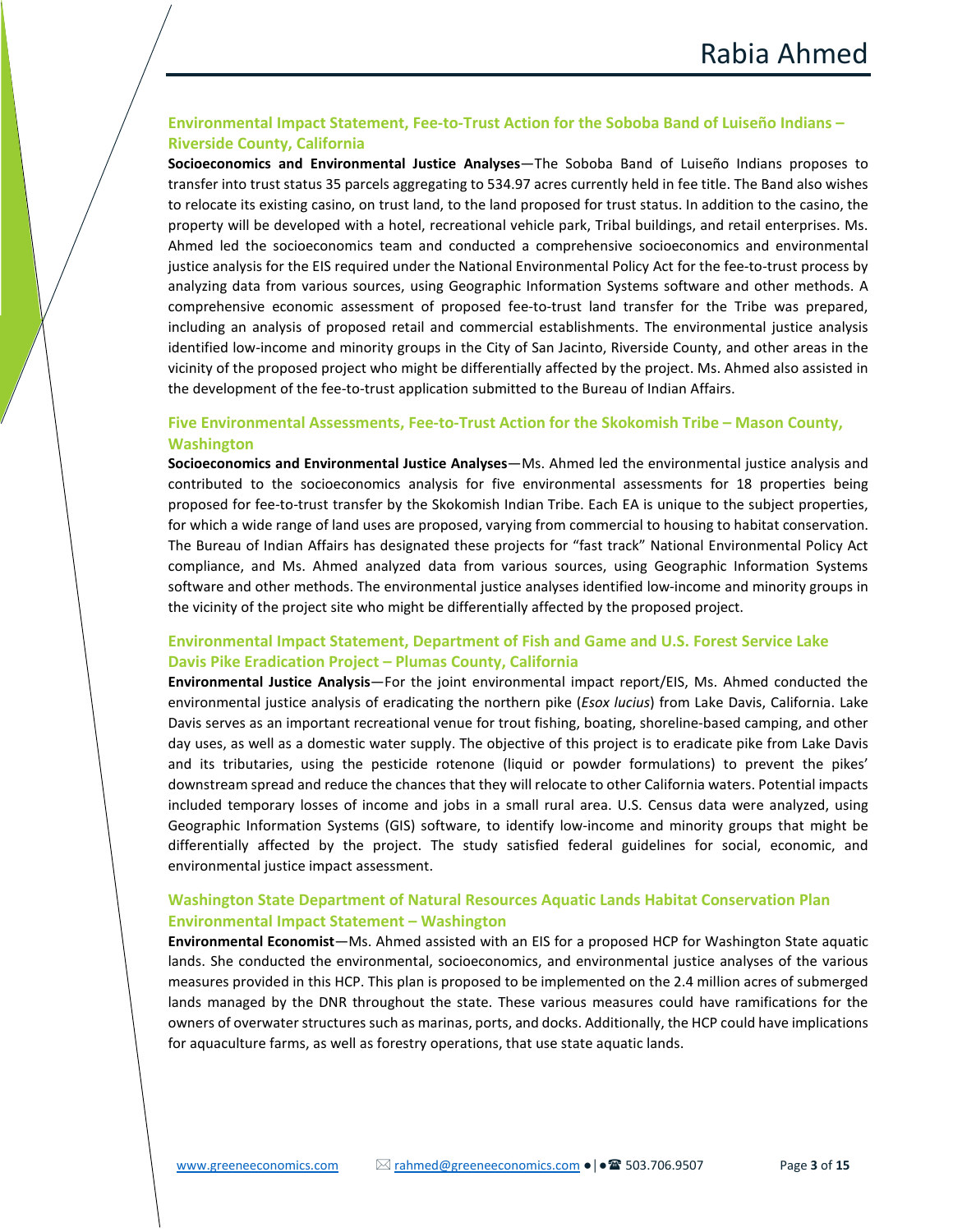# **Environmental Impact Statement, Fee-to-Trust Action for the Soboba Band of Luiseño Indians – Riverside County, California**

**Socioeconomics and Environmental Justice Analyses**—The Soboba Band of Luiseño Indians proposes to transfer into trust status 35 parcels aggregating to 534.97 acres currently held in fee title. The Band also wishes to relocate its existing casino, on trust land, to the land proposed for trust status. In addition to the casino, the property will be developed with a hotel, recreational vehicle park, Tribal buildings, and retail enterprises. Ms. Ahmed led the socioeconomics team and conducted a comprehensive socioeconomics and environmental justice analysis for the EIS required under the National Environmental Policy Act for the fee-to-trust process by analyzing data from various sources, using Geographic Information Systems software and other methods. A comprehensive economic assessment of proposed fee-to-trust land transfer for the Tribe was prepared, including an analysis of proposed retail and commercial establishments. The environmental justice analysis identified low-income and minority groups in the City of San Jacinto, Riverside County, and other areas in the vicinity of the proposed project who might be differentially affected by the project. Ms. Ahmed also assisted in the development of the fee-to-trust application submitted to the Bureau of Indian Affairs.

## **Five Environmental Assessments, Fee-to-Trust Action for the Skokomish Tribe – Mason County, Washington**

**Socioeconomics and Environmental Justice Analyses**—Ms. Ahmed led the environmental justice analysis and contributed to the socioeconomics analysis for five environmental assessments for 18 properties being proposed for fee-to-trust transfer by the Skokomish Indian Tribe. Each EA is unique to the subject properties, for which a wide range of land uses are proposed, varying from commercial to housing to habitat conservation. The Bureau of Indian Affairs has designated these projects for "fast track" National Environmental Policy Act compliance, and Ms. Ahmed analyzed data from various sources, using Geographic Information Systems software and other methods. The environmental justice analyses identified low-income and minority groups in the vicinity of the project site who might be differentially affected by the proposed project.

# **Environmental Impact Statement, Department of Fish and Game and U.S. Forest Service Lake Davis Pike Eradication Project – Plumas County, California**

**Environmental Justice Analysis**—For the joint environmental impact report/EIS, Ms. Ahmed conducted the environmental justice analysis of eradicating the northern pike (*Esox lucius*) from Lake Davis, California. Lake Davis serves as an important recreational venue for trout fishing, boating, shoreline-based camping, and other day uses, as well as a domestic water supply. The objective of this project is to eradicate pike from Lake Davis and its tributaries, using the pesticide rotenone (liquid or powder formulations) to prevent the pikes' downstream spread and reduce the chances that they will relocate to other California waters. Potential impacts included temporary losses of income and jobs in a small rural area. U.S. Census data were analyzed, using Geographic Information Systems (GIS) software, to identify low-income and minority groups that might be differentially affected by the project. The study satisfied federal guidelines for social, economic, and environmental justice impact assessment.

#### **Washington State Department of Natural Resources Aquatic Lands Habitat Conservation Plan Environmental Impact Statement – Washington**

**Environmental Economist**—Ms. Ahmed assisted with an EIS for a proposed HCP for Washington State aquatic lands. She conducted the environmental, socioeconomics, and environmental justice analyses of the various measures provided in this HCP. This plan is proposed to be implemented on the 2.4 million acres of submerged lands managed by the DNR throughout the state. These various measures could have ramifications for the owners of overwater structures such as marinas, ports, and docks. Additionally, the HCP could have implications for aquaculture farms, as well as forestry operations, that use state aquatic lands.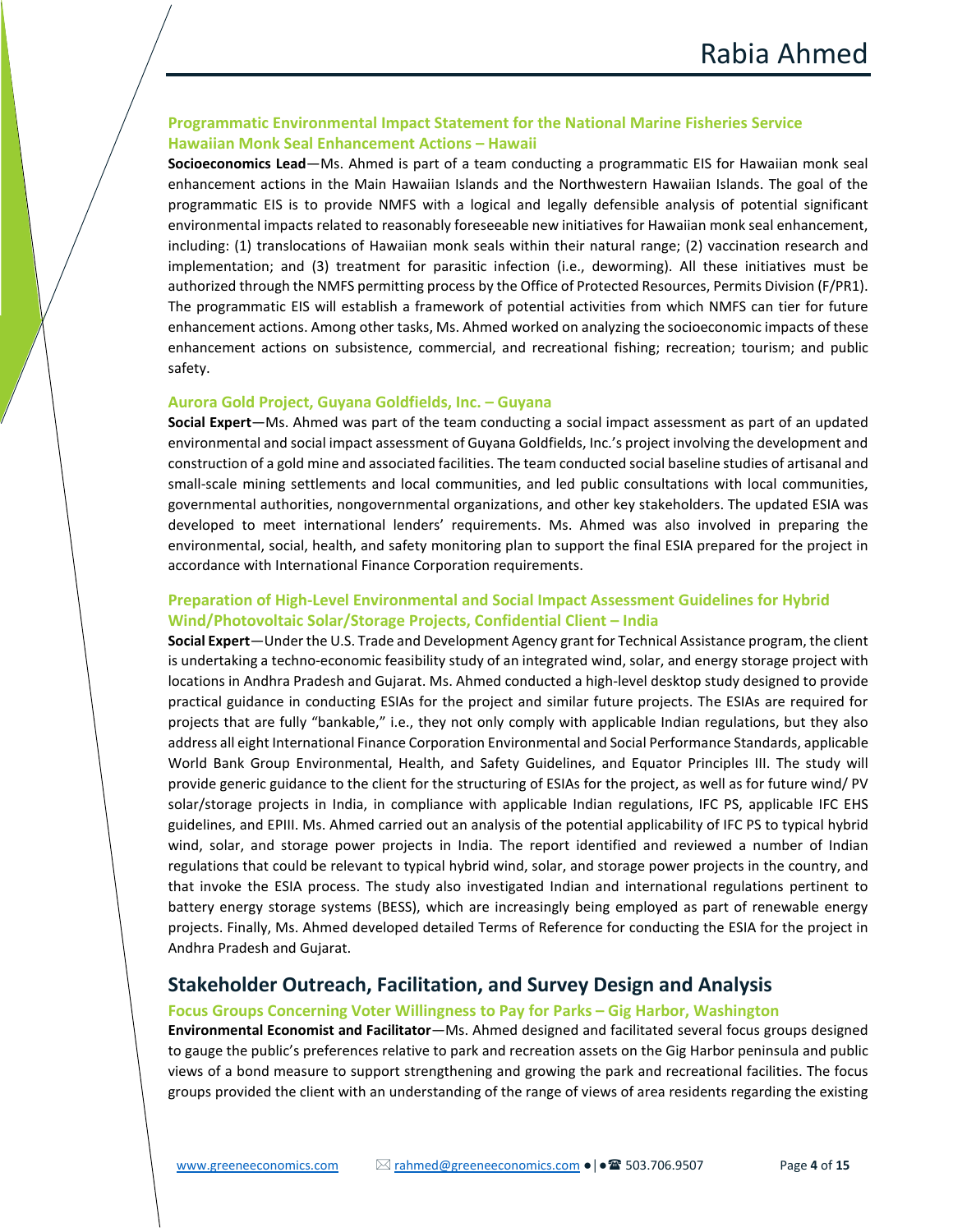# **Programmatic Environmental Impact Statement for the National Marine Fisheries Service Hawaiian Monk Seal Enhancement Actions – Hawaii**

**Socioeconomics Lead**—Ms. Ahmed is part of a team conducting a programmatic EIS for Hawaiian monk seal enhancement actions in the Main Hawaiian Islands and the Northwestern Hawaiian Islands. The goal of the programmatic EIS is to provide NMFS with a logical and legally defensible analysis of potential significant environmental impacts related to reasonably foreseeable new initiatives for Hawaiian monk seal enhancement, including: (1) translocations of Hawaiian monk seals within their natural range; (2) vaccination research and implementation; and (3) treatment for parasitic infection (i.e., deworming). All these initiatives must be authorized through the NMFS permitting process by the Office of Protected Resources, Permits Division (F/PR1). The programmatic EIS will establish a framework of potential activities from which NMFS can tier for future enhancement actions. Among other tasks, Ms. Ahmed worked on analyzing the socioeconomic impacts of these enhancement actions on subsistence, commercial, and recreational fishing; recreation; tourism; and public safety.

#### **Aurora Gold Project, Guyana Goldfields, Inc. – Guyana**

**Social Expert**—Ms. Ahmed was part of the team conducting a social impact assessment as part of an updated environmental and social impact assessment of Guyana Goldfields, Inc.'s project involving the development and construction of a gold mine and associated facilities. The team conducted social baseline studies of artisanal and small-scale mining settlements and local communities, and led public consultations with local communities, governmental authorities, nongovernmental organizations, and other key stakeholders. The updated ESIA was developed to meet international lenders' requirements. Ms. Ahmed was also involved in preparing the environmental, social, health, and safety monitoring plan to support the final ESIA prepared for the project in accordance with International Finance Corporation requirements.

# **Preparation of High-Level Environmental and Social Impact Assessment Guidelines for Hybrid Wind/Photovoltaic Solar/Storage Projects, Confidential Client – India**

**Social Expert**—Under the U.S. Trade and Development Agency grant for Technical Assistance program, the client is undertaking a techno-economic feasibility study of an integrated wind, solar, and energy storage project with locations in Andhra Pradesh and Gujarat. Ms. Ahmed conducted a high-level desktop study designed to provide practical guidance in conducting ESIAs for the project and similar future projects. The ESIAs are required for projects that are fully "bankable," i.e., they not only comply with applicable Indian regulations, but they also address all eight International Finance Corporation Environmental and Social Performance Standards, applicable World Bank Group Environmental, Health, and Safety Guidelines, and Equator Principles III. The study will provide generic guidance to the client for the structuring of ESIAs for the project, as well as for future wind/ PV solar/storage projects in India, in compliance with applicable Indian regulations, IFC PS, applicable IFC EHS guidelines, and EPIII. Ms. Ahmed carried out an analysis of the potential applicability of IFC PS to typical hybrid wind, solar, and storage power projects in India. The report identified and reviewed a number of Indian regulations that could be relevant to typical hybrid wind, solar, and storage power projects in the country, and that invoke the ESIA process. The study also investigated Indian and international regulations pertinent to battery energy storage systems (BESS), which are increasingly being employed as part of renewable energy projects. Finally, Ms. Ahmed developed detailed Terms of Reference for conducting the ESIA for the project in Andhra Pradesh and Gujarat.

# **Stakeholder Outreach, Facilitation, and Survey Design and Analysis**

#### **Focus Groups Concerning Voter Willingness to Pay for Parks – Gig Harbor, Washington**

**Environmental Economist and Facilitator**—Ms. Ahmed designed and facilitated several focus groups designed to gauge the public's preferences relative to park and recreation assets on the Gig Harbor peninsula and public views of a bond measure to support strengthening and growing the park and recreational facilities. The focus groups provided the client with an understanding of the range of views of area residents regarding the existing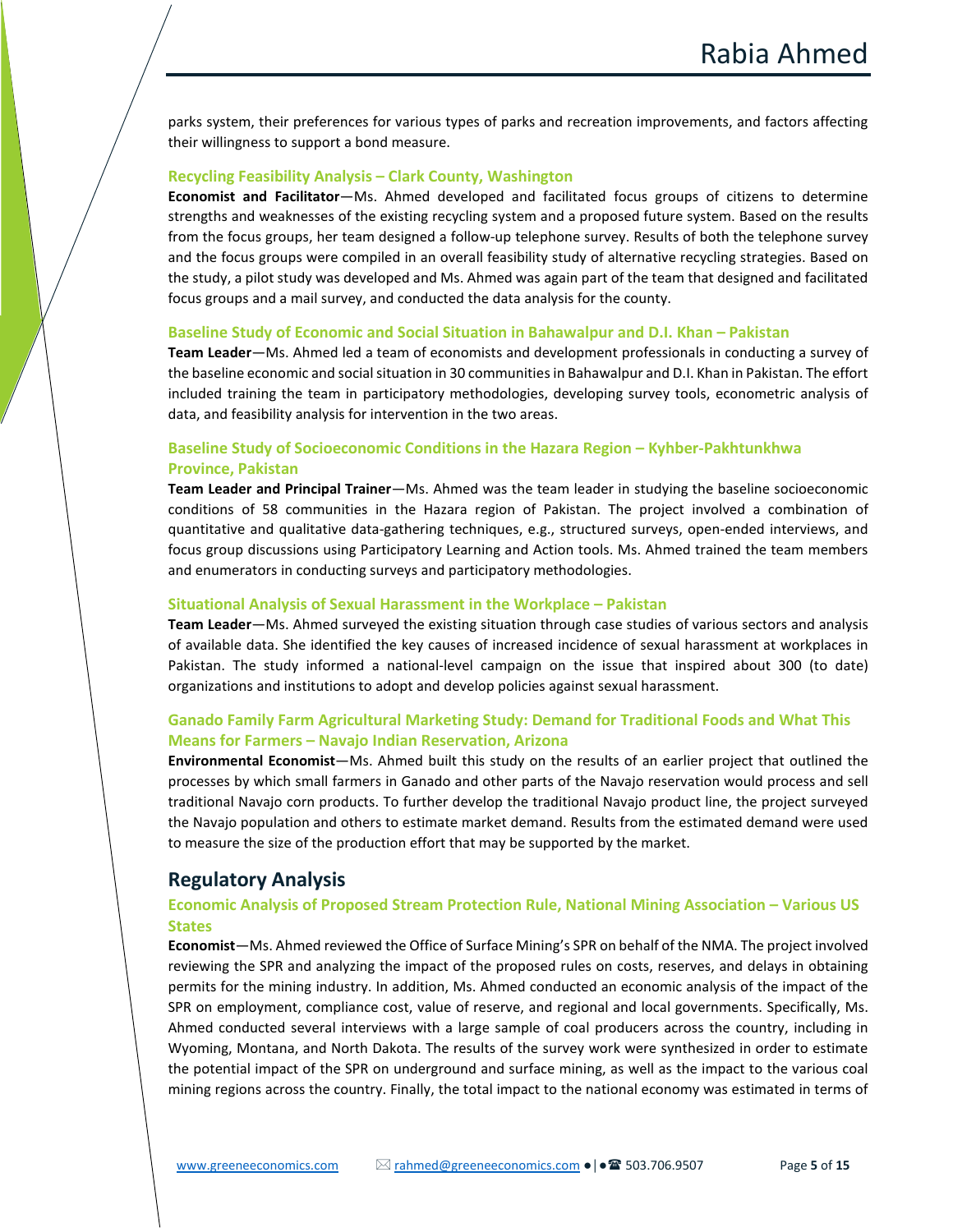parks system, their preferences for various types of parks and recreation improvements, and factors affecting their willingness to support a bond measure.

#### **Recycling Feasibility Analysis – Clark County, Washington**

**Economist and Facilitator**—Ms. Ahmed developed and facilitated focus groups of citizens to determine strengths and weaknesses of the existing recycling system and a proposed future system. Based on the results from the focus groups, her team designed a follow-up telephone survey. Results of both the telephone survey and the focus groups were compiled in an overall feasibility study of alternative recycling strategies. Based on the study, a pilot study was developed and Ms. Ahmed was again part of the team that designed and facilitated focus groups and a mail survey, and conducted the data analysis for the county.

#### **Baseline Study of Economic and Social Situation in Bahawalpur and D.I. Khan – Pakistan**

**Team Leader**—Ms. Ahmed led a team of economists and development professionals in conducting a survey of the baseline economic and social situation in 30 communities in Bahawalpur and D.I. Khan in Pakistan. The effort included training the team in participatory methodologies, developing survey tools, econometric analysis of data, and feasibility analysis for intervention in the two areas.

## **Baseline Study of Socioeconomic Conditions in the Hazara Region – Kyhber-Pakhtunkhwa Province, Pakistan**

**Team Leader and Principal Trainer**—Ms. Ahmed was the team leader in studying the baseline socioeconomic conditions of 58 communities in the Hazara region of Pakistan. The project involved a combination of quantitative and qualitative data-gathering techniques, e.g., structured surveys, open-ended interviews, and focus group discussions using Participatory Learning and Action tools. Ms. Ahmed trained the team members and enumerators in conducting surveys and participatory methodologies.

#### **Situational Analysis of Sexual Harassment in the Workplace – Pakistan**

**Team Leader**—Ms. Ahmed surveyed the existing situation through case studies of various sectors and analysis of available data. She identified the key causes of increased incidence of sexual harassment at workplaces in Pakistan. The study informed a national-level campaign on the issue that inspired about 300 (to date) organizations and institutions to adopt and develop policies against sexual harassment.

# **Ganado Family Farm Agricultural Marketing Study: Demand for Traditional Foods and What This Means for Farmers – Navajo Indian Reservation, Arizona**

**Environmental Economist**—Ms. Ahmed built this study on the results of an earlier project that outlined the processes by which small farmers in Ganado and other parts of the Navajo reservation would process and sell traditional Navajo corn products. To further develop the traditional Navajo product line, the project surveyed the Navajo population and others to estimate market demand. Results from the estimated demand were used to measure the size of the production effort that may be supported by the market.

# **Regulatory Analysis**

#### **Economic Analysis of Proposed Stream Protection Rule, National Mining Association – Various US States**

**Economist**—Ms. Ahmed reviewed the Office of Surface Mining's SPR on behalf of the NMA. The project involved reviewing the SPR and analyzing the impact of the proposed rules on costs, reserves, and delays in obtaining permits for the mining industry. In addition, Ms. Ahmed conducted an economic analysis of the impact of the SPR on employment, compliance cost, value of reserve, and regional and local governments. Specifically, Ms. Ahmed conducted several interviews with a large sample of coal producers across the country, including in Wyoming, Montana, and North Dakota. The results of the survey work were synthesized in order to estimate the potential impact of the SPR on underground and surface mining, as well as the impact to the various coal mining regions across the country. Finally, the total impact to the national economy was estimated in terms of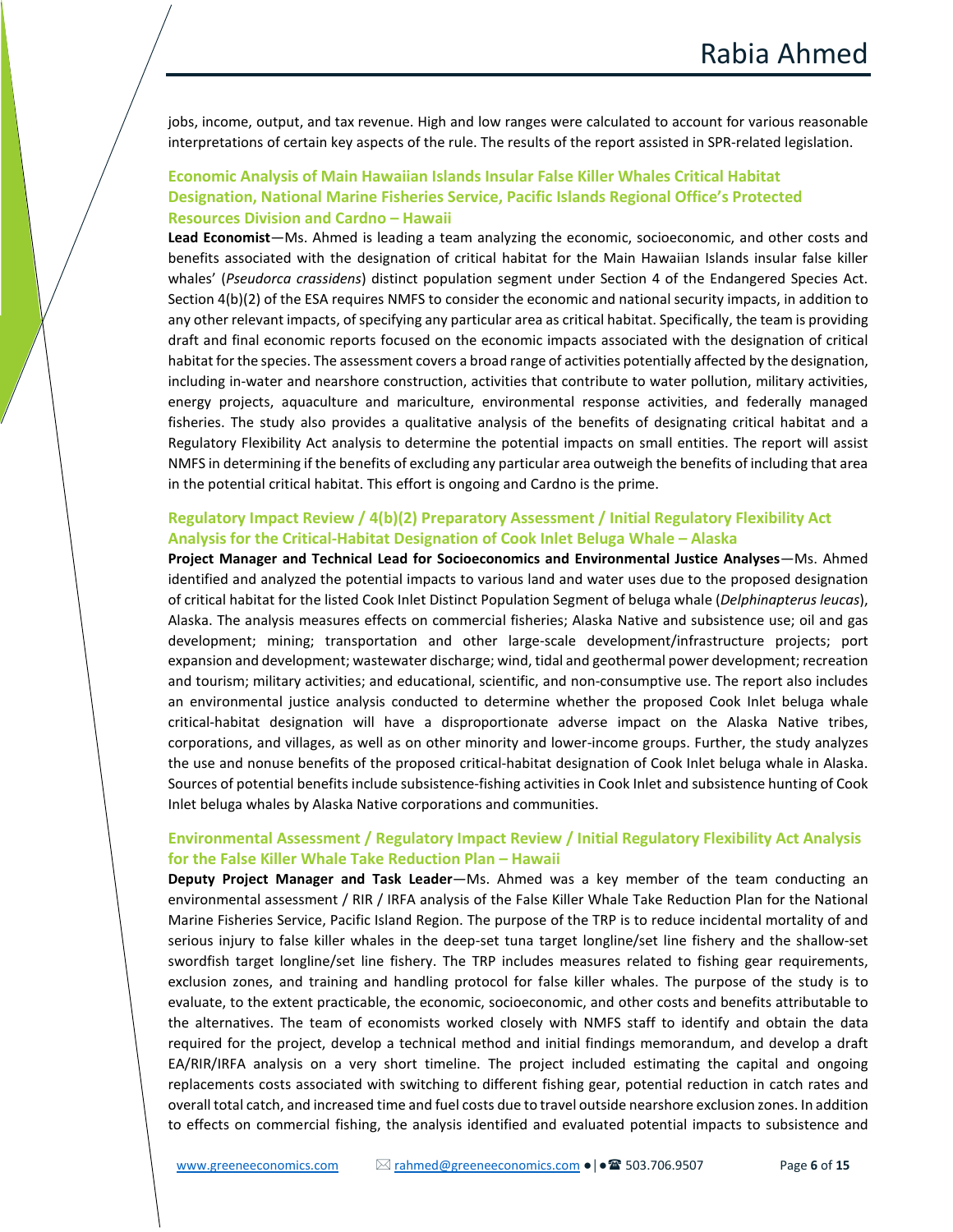jobs, income, output, and tax revenue. High and low ranges were calculated to account for various reasonable interpretations of certain key aspects of the rule. The results of the report assisted in SPR-related legislation.

# **Economic Analysis of Main Hawaiian Islands Insular False Killer Whales Critical Habitat Designation, National Marine Fisheries Service, Pacific Islands Regional Office's Protected Resources Division and Cardno – Hawaii**

**Lead Economist**—Ms. Ahmed is leading a team analyzing the economic, socioeconomic, and other costs and benefits associated with the designation of critical habitat for the Main Hawaiian Islands insular false killer whales' (*Pseudorca crassidens*) distinct population segment under Section 4 of the Endangered Species Act. Section 4(b)(2) of the ESA requires NMFS to consider the economic and national security impacts, in addition to any other relevant impacts, of specifying any particular area as critical habitat. Specifically, the team is providing draft and final economic reports focused on the economic impacts associated with the designation of critical habitat for the species. The assessment covers a broad range of activities potentially affected by the designation, including in-water and nearshore construction, activities that contribute to water pollution, military activities, energy projects, aquaculture and mariculture, environmental response activities, and federally managed fisheries. The study also provides a qualitative analysis of the benefits of designating critical habitat and a Regulatory Flexibility Act analysis to determine the potential impacts on small entities. The report will assist NMFS in determining if the benefits of excluding any particular area outweigh the benefits of including that area in the potential critical habitat. This effort is ongoing and Cardno is the prime.

## **Regulatory Impact Review / 4(b)(2) Preparatory Assessment / Initial Regulatory Flexibility Act Analysis for the Critical-Habitat Designation of Cook Inlet Beluga Whale – Alaska**

**Project Manager and Technical Lead for Socioeconomics and Environmental Justice Analyses**—Ms. Ahmed identified and analyzed the potential impacts to various land and water uses due to the proposed designation of critical habitat for the listed Cook Inlet Distinct Population Segment of beluga whale (*Delphinapterus leucas*), Alaska. The analysis measures effects on commercial fisheries; Alaska Native and subsistence use; oil and gas development; mining; transportation and other large-scale development/infrastructure projects; port expansion and development; wastewater discharge; wind, tidal and geothermal power development; recreation and tourism; military activities; and educational, scientific, and non-consumptive use. The report also includes an environmental justice analysis conducted to determine whether the proposed Cook Inlet beluga whale critical-habitat designation will have a disproportionate adverse impact on the Alaska Native tribes, corporations, and villages, as well as on other minority and lower-income groups. Further, the study analyzes the use and nonuse benefits of the proposed critical-habitat designation of Cook Inlet beluga whale in Alaska. Sources of potential benefits include subsistence-fishing activities in Cook Inlet and subsistence hunting of Cook Inlet beluga whales by Alaska Native corporations and communities.

# **Environmental Assessment / Regulatory Impact Review / Initial Regulatory Flexibility Act Analysis for the False Killer Whale Take Reduction Plan – Hawaii**

**Deputy Project Manager and Task Leader**—Ms. Ahmed was a key member of the team conducting an environmental assessment / RIR / IRFA analysis of the False Killer Whale Take Reduction Plan for the National Marine Fisheries Service, Pacific Island Region. The purpose of the TRP is to reduce incidental mortality of and serious injury to false killer whales in the deep-set tuna target longline/set line fishery and the shallow-set swordfish target longline/set line fishery. The TRP includes measures related to fishing gear requirements, exclusion zones, and training and handling protocol for false killer whales. The purpose of the study is to evaluate, to the extent practicable, the economic, socioeconomic, and other costs and benefits attributable to the alternatives. The team of economists worked closely with NMFS staff to identify and obtain the data required for the project, develop a technical method and initial findings memorandum, and develop a draft EA/RIR/IRFA analysis on a very short timeline. The project included estimating the capital and ongoing replacements costs associated with switching to different fishing gear, potential reduction in catch rates and overall total catch, and increased time and fuel costs due to travel outside nearshore exclusion zones. In addition to effects on commercial fishing, the analysis identified and evaluated potential impacts to subsistence and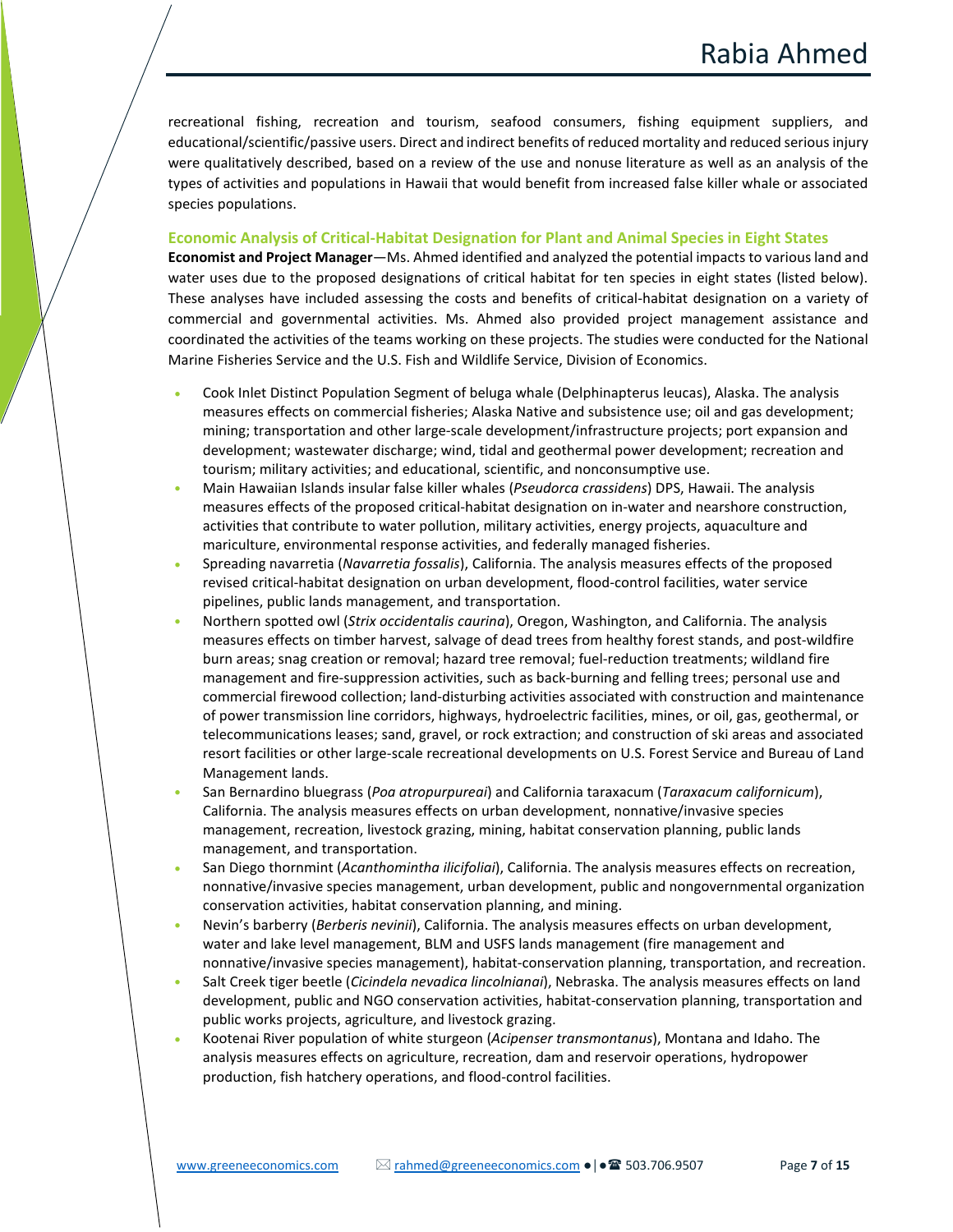recreational fishing, recreation and tourism, seafood consumers, fishing equipment suppliers, and educational/scientific/passive users. Direct and indirect benefits of reduced mortality and reduced serious injury were qualitatively described, based on a review of the use and nonuse literature as well as an analysis of the types of activities and populations in Hawaii that would benefit from increased false killer whale or associated species populations.

#### **Economic Analysis of Critical-Habitat Designation for Plant and Animal Species in Eight States**

**Economist and Project Manager**—Ms. Ahmed identified and analyzed the potential impacts to various land and water uses due to the proposed designations of critical habitat for ten species in eight states (listed below). These analyses have included assessing the costs and benefits of critical-habitat designation on a variety of commercial and governmental activities. Ms. Ahmed also provided project management assistance and coordinated the activities of the teams working on these projects. The studies were conducted for the National Marine Fisheries Service and the U.S. Fish and Wildlife Service, Division of Economics.

- Cook Inlet Distinct Population Segment of beluga whale (Delphinapterus leucas), Alaska. The analysis measures effects on commercial fisheries; Alaska Native and subsistence use; oil and gas development; mining; transportation and other large-scale development/infrastructure projects; port expansion and development; wastewater discharge; wind, tidal and geothermal power development; recreation and tourism; military activities; and educational, scientific, and nonconsumptive use.
- Main Hawaiian Islands insular false killer whales (*Pseudorca crassidens*) DPS, Hawaii. The analysis measures effects of the proposed critical-habitat designation on in-water and nearshore construction, activities that contribute to water pollution, military activities, energy projects, aquaculture and mariculture, environmental response activities, and federally managed fisheries.
- Spreading navarretia (*Navarretia fossalis*), California. The analysis measures effects of the proposed revised critical-habitat designation on urban development, flood-control facilities, water service pipelines, public lands management, and transportation.
- Northern spotted owl (*Strix occidentalis caurina*), Oregon, Washington, and California. The analysis measures effects on timber harvest, salvage of dead trees from healthy forest stands, and post-wildfire burn areas; snag creation or removal; hazard tree removal; fuel-reduction treatments; wildland fire management and fire-suppression activities, such as back-burning and felling trees; personal use and commercial firewood collection; land-disturbing activities associated with construction and maintenance of power transmission line corridors, highways, hydroelectric facilities, mines, or oil, gas, geothermal, or telecommunications leases; sand, gravel, or rock extraction; and construction of ski areas and associated resort facilities or other large-scale recreational developments on U.S. Forest Service and Bureau of Land Management lands.
- San Bernardino bluegrass (*Poa atropurpureai*) and California taraxacum (*Taraxacum californicum*), California. The analysis measures effects on urban development, nonnative/invasive species management, recreation, livestock grazing, mining, habitat conservation planning, public lands management, and transportation.
- San Diego thornmint (*Acanthomintha ilicifoliai*), California. The analysis measures effects on recreation, nonnative/invasive species management, urban development, public and nongovernmental organization conservation activities, habitat conservation planning, and mining.
- Nevin's barberry (*Berberis nevinii*), California. The analysis measures effects on urban development, water and lake level management, BLM and USFS lands management (fire management and nonnative/invasive species management), habitat-conservation planning, transportation, and recreation.
- Salt Creek tiger beetle (*Cicindela nevadica lincolnianai*), Nebraska. The analysis measures effects on land development, public and NGO conservation activities, habitat-conservation planning, transportation and public works projects, agriculture, and livestock grazing.
- Kootenai River population of white sturgeon (*Acipenser transmontanus*), Montana and Idaho. The analysis measures effects on agriculture, recreation, dam and reservoir operations, hydropower production, fish hatchery operations, and flood-control facilities.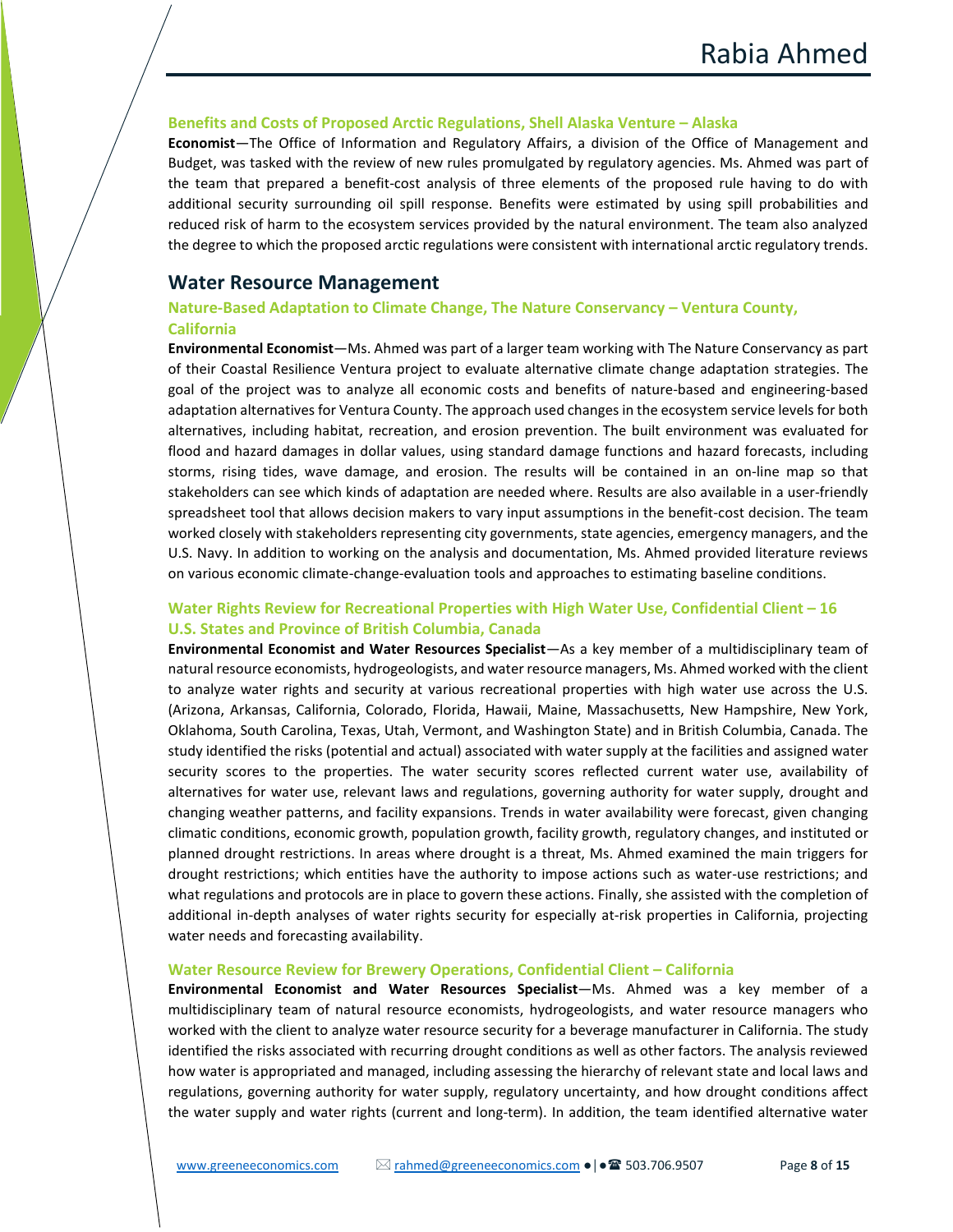#### **Benefits and Costs of Proposed Arctic Regulations, Shell Alaska Venture – Alaska**

**Economist**—The Office of Information and Regulatory Affairs, a division of the Office of Management and Budget, was tasked with the review of new rules promulgated by regulatory agencies. Ms. Ahmed was part of the team that prepared a benefit-cost analysis of three elements of the proposed rule having to do with additional security surrounding oil spill response. Benefits were estimated by using spill probabilities and reduced risk of harm to the ecosystem services provided by the natural environment. The team also analyzed the degree to which the proposed arctic regulations were consistent with international arctic regulatory trends.

# **Water Resource Management**

# **Nature-Based Adaptation to Climate Change, The Nature Conservancy – Ventura County, California**

**Environmental Economist**—Ms. Ahmed was part of a larger team working with The Nature Conservancy as part of their Coastal Resilience Ventura project to evaluate alternative climate change adaptation strategies. The goal of the project was to analyze all economic costs and benefits of nature-based and engineering-based adaptation alternatives for Ventura County. The approach used changes in the ecosystem service levels for both alternatives, including habitat, recreation, and erosion prevention. The built environment was evaluated for flood and hazard damages in dollar values, using standard damage functions and hazard forecasts, including storms, rising tides, wave damage, and erosion. The results will be contained in an on-line map so that stakeholders can see which kinds of adaptation are needed where. Results are also available in a user-friendly spreadsheet tool that allows decision makers to vary input assumptions in the benefit-cost decision. The team worked closely with stakeholders representing city governments, state agencies, emergency managers, and the U.S. Navy. In addition to working on the analysis and documentation, Ms. Ahmed provided literature reviews on various economic climate-change-evaluation tools and approaches to estimating baseline conditions.

# **Water Rights Review for Recreational Properties with High Water Use, Confidential Client – 16 U.S. States and Province of British Columbia, Canada**

**Environmental Economist and Water Resources Specialist**—As a key member of a multidisciplinary team of natural resource economists, hydrogeologists, and water resource managers, Ms. Ahmed worked with the client to analyze water rights and security at various recreational properties with high water use across the U.S. (Arizona, Arkansas, California, Colorado, Florida, Hawaii, Maine, Massachusetts, New Hampshire, New York, Oklahoma, South Carolina, Texas, Utah, Vermont, and Washington State) and in British Columbia, Canada. The study identified the risks (potential and actual) associated with water supply at the facilities and assigned water security scores to the properties. The water security scores reflected current water use, availability of alternatives for water use, relevant laws and regulations, governing authority for water supply, drought and changing weather patterns, and facility expansions. Trends in water availability were forecast, given changing climatic conditions, economic growth, population growth, facility growth, regulatory changes, and instituted or planned drought restrictions. In areas where drought is a threat, Ms. Ahmed examined the main triggers for drought restrictions; which entities have the authority to impose actions such as water-use restrictions; and what regulations and protocols are in place to govern these actions. Finally, she assisted with the completion of additional in-depth analyses of water rights security for especially at-risk properties in California, projecting water needs and forecasting availability.

#### **Water Resource Review for Brewery Operations, Confidential Client – California**

**Environmental Economist and Water Resources Specialist**—Ms. Ahmed was a key member of a multidisciplinary team of natural resource economists, hydrogeologists, and water resource managers who worked with the client to analyze water resource security for a beverage manufacturer in California. The study identified the risks associated with recurring drought conditions as well as other factors. The analysis reviewed how water is appropriated and managed, including assessing the hierarchy of relevant state and local laws and regulations, governing authority for water supply, regulatory uncertainty, and how drought conditions affect the water supply and water rights (current and long-term). In addition, the team identified alternative water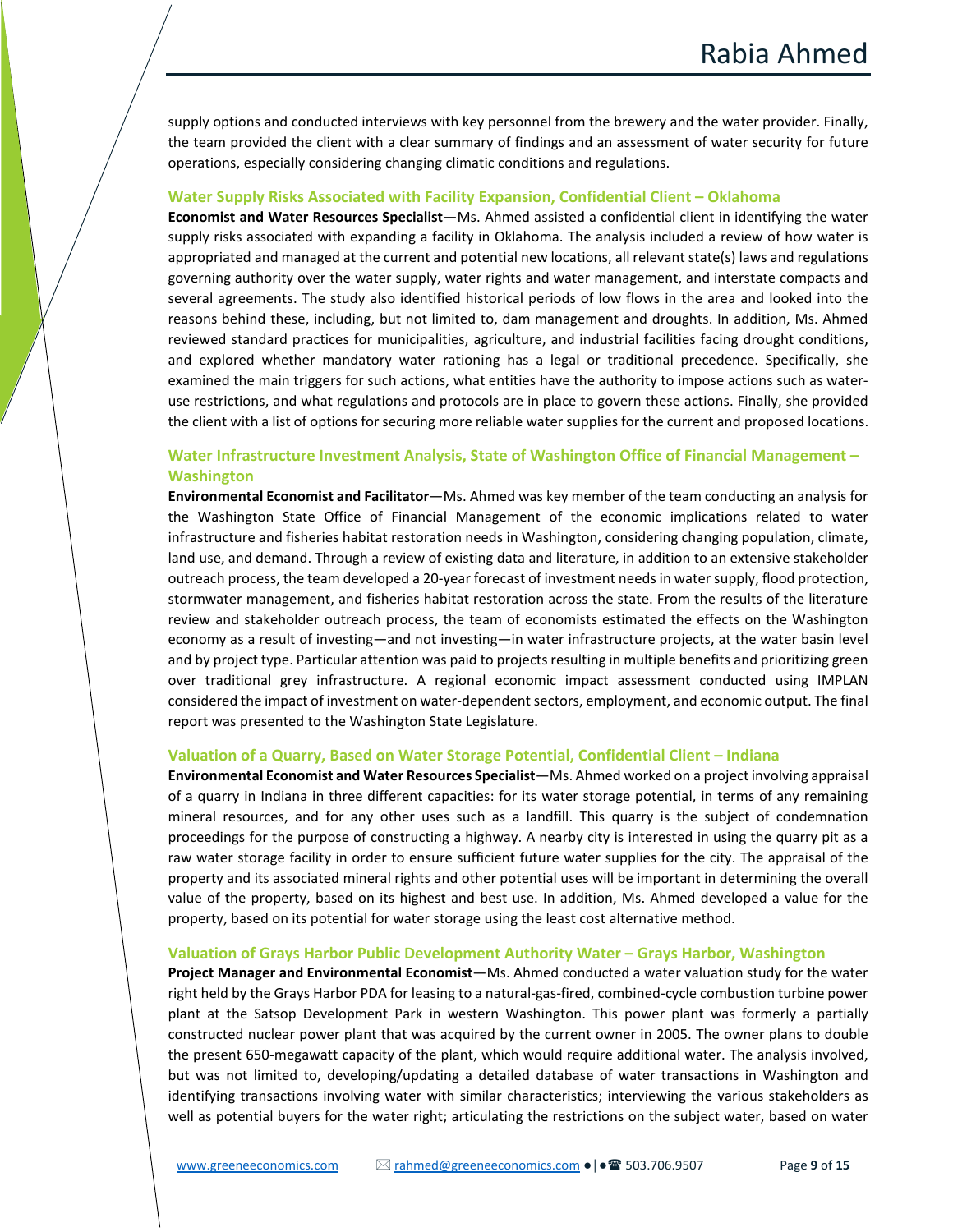supply options and conducted interviews with key personnel from the brewery and the water provider. Finally, the team provided the client with a clear summary of findings and an assessment of water security for future operations, especially considering changing climatic conditions and regulations.

#### **Water Supply Risks Associated with Facility Expansion, Confidential Client – Oklahoma**

**Economist and Water Resources Specialist**—Ms. Ahmed assisted a confidential client in identifying the water supply risks associated with expanding a facility in Oklahoma. The analysis included a review of how water is appropriated and managed at the current and potential new locations, all relevant state(s) laws and regulations governing authority over the water supply, water rights and water management, and interstate compacts and several agreements. The study also identified historical periods of low flows in the area and looked into the reasons behind these, including, but not limited to, dam management and droughts. In addition, Ms. Ahmed reviewed standard practices for municipalities, agriculture, and industrial facilities facing drought conditions, and explored whether mandatory water rationing has a legal or traditional precedence. Specifically, she examined the main triggers for such actions, what entities have the authority to impose actions such as wateruse restrictions, and what regulations and protocols are in place to govern these actions. Finally, she provided the client with a list of options for securing more reliable water supplies for the current and proposed locations.

# **Water Infrastructure Investment Analysis, State of Washington Office of Financial Management – Washington**

**Environmental Economist and Facilitator**—Ms. Ahmed was key member of the team conducting an analysis for the Washington State Office of Financial Management of the economic implications related to water infrastructure and fisheries habitat restoration needs in Washington, considering changing population, climate, land use, and demand. Through a review of existing data and literature, in addition to an extensive stakeholder outreach process, the team developed a 20-year forecast of investment needs in water supply, flood protection, stormwater management, and fisheries habitat restoration across the state. From the results of the literature review and stakeholder outreach process, the team of economists estimated the effects on the Washington economy as a result of investing—and not investing—in water infrastructure projects, at the water basin level and by project type. Particular attention was paid to projects resulting in multiple benefits and prioritizing green over traditional grey infrastructure. A regional economic impact assessment conducted using IMPLAN considered the impact of investment on water-dependent sectors, employment, and economic output. The final report was presented to the Washington State Legislature.

#### **Valuation of a Quarry, Based on Water Storage Potential, Confidential Client – Indiana**

**Environmental Economist and Water Resources Specialist**—Ms. Ahmed worked on a project involving appraisal of a quarry in Indiana in three different capacities: for its water storage potential, in terms of any remaining mineral resources, and for any other uses such as a landfill. This quarry is the subject of condemnation proceedings for the purpose of constructing a highway. A nearby city is interested in using the quarry pit as a raw water storage facility in order to ensure sufficient future water supplies for the city. The appraisal of the property and its associated mineral rights and other potential uses will be important in determining the overall value of the property, based on its highest and best use. In addition, Ms. Ahmed developed a value for the property, based on its potential for water storage using the least cost alternative method.

#### **Valuation of Grays Harbor Public Development Authority Water – Grays Harbor, Washington**

**Project Manager and Environmental Economist**—Ms. Ahmed conducted a water valuation study for the water right held by the Grays Harbor PDA for leasing to a natural-gas-fired, combined-cycle combustion turbine power plant at the Satsop Development Park in western Washington. This power plant was formerly a partially constructed nuclear power plant that was acquired by the current owner in 2005. The owner plans to double the present 650-megawatt capacity of the plant, which would require additional water. The analysis involved, but was not limited to, developing/updating a detailed database of water transactions in Washington and identifying transactions involving water with similar characteristics; interviewing the various stakeholders as well as potential buyers for the water right; articulating the restrictions on the subject water, based on water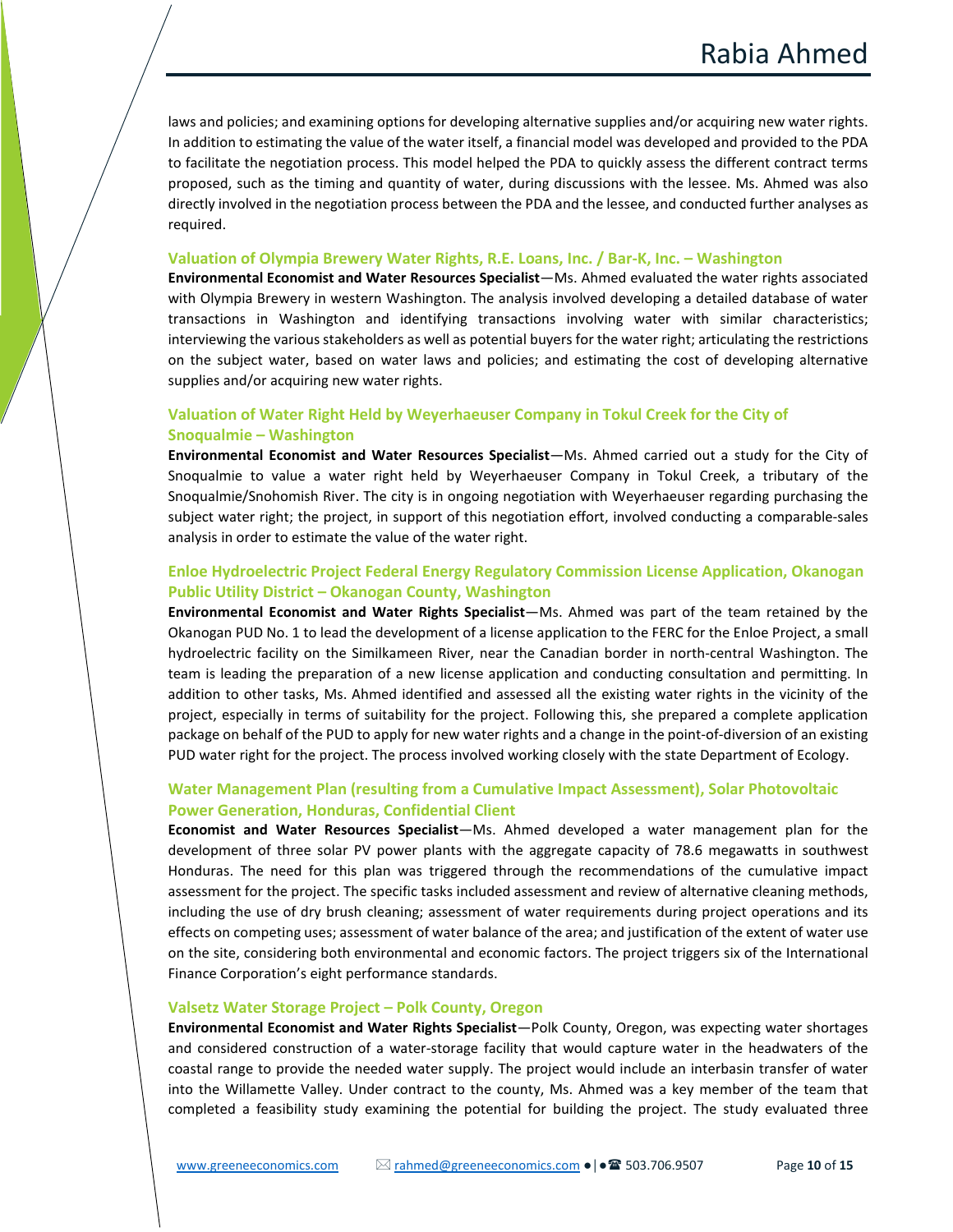laws and policies; and examining options for developing alternative supplies and/or acquiring new water rights. In addition to estimating the value of the water itself, a financial model was developed and provided to the PDA to facilitate the negotiation process. This model helped the PDA to quickly assess the different contract terms proposed, such as the timing and quantity of water, during discussions with the lessee. Ms. Ahmed was also directly involved in the negotiation process between the PDA and the lessee, and conducted further analyses as required.

#### **Valuation of Olympia Brewery Water Rights, R.E. Loans, Inc. / Bar-K, Inc. – Washington**

**Environmental Economist and Water Resources Specialist**—Ms. Ahmed evaluated the water rights associated with Olympia Brewery in western Washington. The analysis involved developing a detailed database of water transactions in Washington and identifying transactions involving water with similar characteristics; interviewing the various stakeholders as well as potential buyers for the water right; articulating the restrictions on the subject water, based on water laws and policies; and estimating the cost of developing alternative supplies and/or acquiring new water rights.

# **Valuation of Water Right Held by Weyerhaeuser Company in Tokul Creek for the City of Snoqualmie – Washington**

**Environmental Economist and Water Resources Specialist**—Ms. Ahmed carried out a study for the City of Snoqualmie to value a water right held by Weyerhaeuser Company in Tokul Creek, a tributary of the Snoqualmie/Snohomish River. The city is in ongoing negotiation with Weyerhaeuser regarding purchasing the subject water right; the project, in support of this negotiation effort, involved conducting a comparable-sales analysis in order to estimate the value of the water right.

# **Enloe Hydroelectric Project Federal Energy Regulatory Commission License Application, Okanogan Public Utility District – Okanogan County, Washington**

**Environmental Economist and Water Rights Specialist**—Ms. Ahmed was part of the team retained by the Okanogan PUD No. 1 to lead the development of a license application to the FERC for the Enloe Project, a small hydroelectric facility on the Similkameen River, near the Canadian border in north-central Washington. The team is leading the preparation of a new license application and conducting consultation and permitting. In addition to other tasks, Ms. Ahmed identified and assessed all the existing water rights in the vicinity of the project, especially in terms of suitability for the project. Following this, she prepared a complete application package on behalf of the PUD to apply for new water rights and a change in the point-of-diversion of an existing PUD water right for the project. The process involved working closely with the state Department of Ecology.

# **Water Management Plan (resulting from a Cumulative Impact Assessment), Solar Photovoltaic Power Generation, Honduras, Confidential Client**

**Economist and Water Resources Specialist**—Ms. Ahmed developed a water management plan for the development of three solar PV power plants with the aggregate capacity of 78.6 megawatts in southwest Honduras. The need for this plan was triggered through the recommendations of the cumulative impact assessment for the project. The specific tasks included assessment and review of alternative cleaning methods, including the use of dry brush cleaning; assessment of water requirements during project operations and its effects on competing uses; assessment of water balance of the area; and justification of the extent of water use on the site, considering both environmental and economic factors. The project triggers six of the International Finance Corporation's eight performance standards.

#### **Valsetz Water Storage Project – Polk County, Oregon**

**Environmental Economist and Water Rights Specialist**—Polk County, Oregon, was expecting water shortages and considered construction of a water-storage facility that would capture water in the headwaters of the coastal range to provide the needed water supply. The project would include an interbasin transfer of water into the Willamette Valley. Under contract to the county, Ms. Ahmed was a key member of the team that completed a feasibility study examining the potential for building the project. The study evaluated three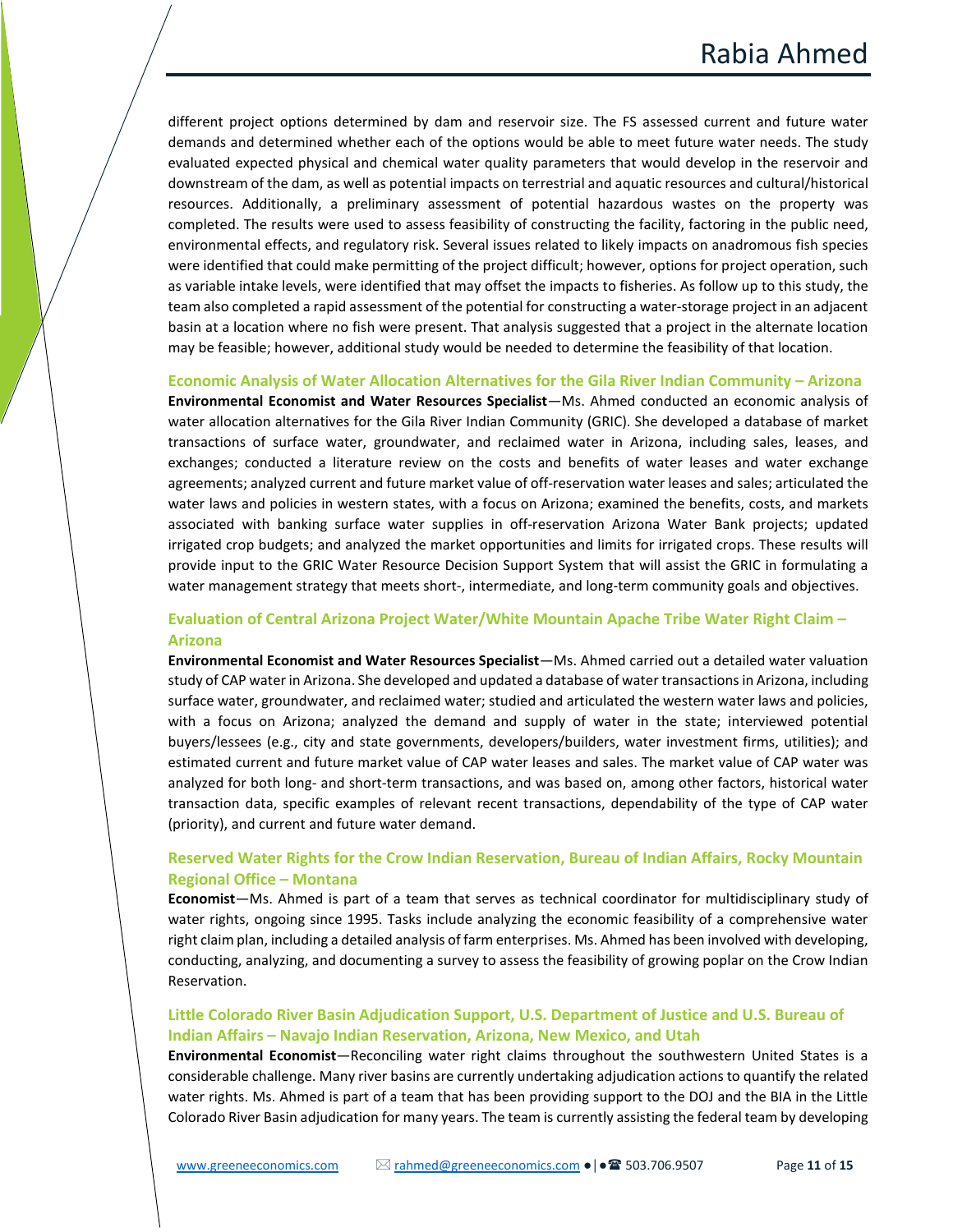different project options determined by dam and reservoir size. The FS assessed current and future water demands and determined whether each of the options would be able to meet future water needs. The study evaluated expected physical and chemical water quality parameters that would develop in the reservoir and downstream of the dam, as well as potential impacts on terrestrial and aquatic resources and cultural/historical resources. Additionally, a preliminary assessment of potential hazardous wastes on the property was completed. The results were used to assess feasibility of constructing the facility, factoring in the public need, environmental effects, and regulatory risk. Several issues related to likely impacts on anadromous fish species were identified that could make permitting of the project difficult; however, options for project operation, such as variable intake levels, were identified that may offset the impacts to fisheries. As follow up to this study, the team also completed a rapid assessment of the potential for constructing a water-storage project in an adjacent basin at a location where no fish were present. That analysis suggested that a project in the alternate location may be feasible; however, additional study would be needed to determine the feasibility of that location.

#### **Economic Analysis of Water Allocation Alternatives for the Gila River Indian Community – Arizona**

**Environmental Economist and Water Resources Specialist**—Ms. Ahmed conducted an economic analysis of water allocation alternatives for the Gila River Indian Community (GRIC). She developed a database of market transactions of surface water, groundwater, and reclaimed water in Arizona, including sales, leases, and exchanges; conducted a literature review on the costs and benefits of water leases and water exchange agreements; analyzed current and future market value of off-reservation water leases and sales; articulated the water laws and policies in western states, with a focus on Arizona; examined the benefits, costs, and markets associated with banking surface water supplies in off-reservation Arizona Water Bank projects; updated irrigated crop budgets; and analyzed the market opportunities and limits for irrigated crops. These results will provide input to the GRIC Water Resource Decision Support System that will assist the GRIC in formulating a water management strategy that meets short-, intermediate, and long-term community goals and objectives.

# **Evaluation of Central Arizona Project Water/White Mountain Apache Tribe Water Right Claim – Arizona**

**Environmental Economist and Water Resources Specialist**—Ms. Ahmed carried out a detailed water valuation study of CAP water in Arizona. She developed and updated a database of water transactions in Arizona, including surface water, groundwater, and reclaimed water; studied and articulated the western water laws and policies, with a focus on Arizona; analyzed the demand and supply of water in the state; interviewed potential buyers/lessees (e.g., city and state governments, developers/builders, water investment firms, utilities); and estimated current and future market value of CAP water leases and sales. The market value of CAP water was analyzed for both long- and short-term transactions, and was based on, among other factors, historical water transaction data, specific examples of relevant recent transactions, dependability of the type of CAP water (priority), and current and future water demand.

# **Reserved Water Rights for the Crow Indian Reservation, Bureau of Indian Affairs, Rocky Mountain Regional Office – Montana**

**Economist**—Ms. Ahmed is part of a team that serves as technical coordinator for multidisciplinary study of water rights, ongoing since 1995. Tasks include analyzing the economic feasibility of a comprehensive water right claim plan, including a detailed analysis of farm enterprises. Ms. Ahmed has been involved with developing, conducting, analyzing, and documenting a survey to assess the feasibility of growing poplar on the Crow Indian Reservation.

## **Little Colorado River Basin Adjudication Support, U.S. Department of Justice and U.S. Bureau of Indian Affairs – Navajo Indian Reservation, Arizona, New Mexico, and Utah**

**Environmental Economist**—Reconciling water right claims throughout the southwestern United States is a considerable challenge. Many river basins are currently undertaking adjudication actions to quantify the related water rights. Ms. Ahmed is part of a team that has been providing support to the DOJ and the BIA in the Little Colorado River Basin adjudication for many years. The team is currently assisting the federal team by developing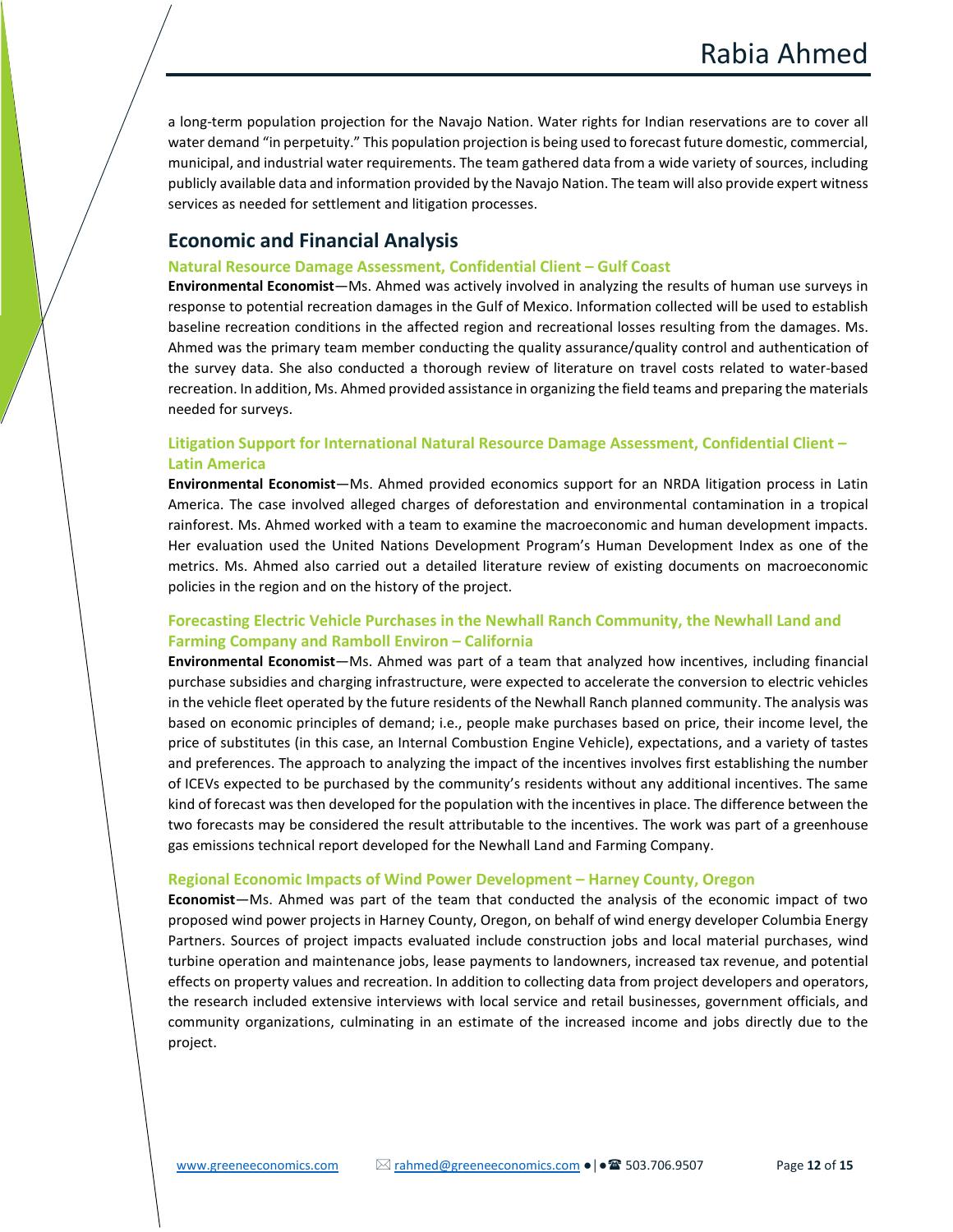a long-term population projection for the Navajo Nation. Water rights for Indian reservations are to cover all water demand "in perpetuity." This population projection is being used to forecast future domestic, commercial, municipal, and industrial water requirements. The team gathered data from a wide variety of sources, including publicly available data and information provided by the Navajo Nation. The team will also provide expert witness services as needed for settlement and litigation processes.

# **Economic and Financial Analysis**

#### **Natural Resource Damage Assessment, Confidential Client – Gulf Coast**

**Environmental Economist**—Ms. Ahmed was actively involved in analyzing the results of human use surveys in response to potential recreation damages in the Gulf of Mexico. Information collected will be used to establish baseline recreation conditions in the affected region and recreational losses resulting from the damages. Ms. Ahmed was the primary team member conducting the quality assurance/quality control and authentication of the survey data. She also conducted a thorough review of literature on travel costs related to water-based recreation. In addition, Ms. Ahmed provided assistance in organizing the field teams and preparing the materials needed for surveys.

# **Litigation Support for International Natural Resource Damage Assessment, Confidential Client – Latin America**

**Environmental Economist**—Ms. Ahmed provided economics support for an NRDA litigation process in Latin America. The case involved alleged charges of deforestation and environmental contamination in a tropical rainforest. Ms. Ahmed worked with a team to examine the macroeconomic and human development impacts. Her evaluation used the United Nations Development Program's Human Development Index as one of the metrics. Ms. Ahmed also carried out a detailed literature review of existing documents on macroeconomic policies in the region and on the history of the project.

# **Forecasting Electric Vehicle Purchases in the Newhall Ranch Community, the Newhall Land and Farming Company and Ramboll Environ – California**

**Environmental Economist**—Ms. Ahmed was part of a team that analyzed how incentives, including financial purchase subsidies and charging infrastructure, were expected to accelerate the conversion to electric vehicles in the vehicle fleet operated by the future residents of the Newhall Ranch planned community. The analysis was based on economic principles of demand; i.e., people make purchases based on price, their income level, the price of substitutes (in this case, an Internal Combustion Engine Vehicle), expectations, and a variety of tastes and preferences. The approach to analyzing the impact of the incentives involves first establishing the number of ICEVs expected to be purchased by the community's residents without any additional incentives. The same kind of forecast was then developed for the population with the incentives in place. The difference between the two forecasts may be considered the result attributable to the incentives. The work was part of a greenhouse gas emissions technical report developed for the Newhall Land and Farming Company.

#### **Regional Economic Impacts of Wind Power Development – Harney County, Oregon**

**Economist**—Ms. Ahmed was part of the team that conducted the analysis of the economic impact of two proposed wind power projects in Harney County, Oregon, on behalf of wind energy developer Columbia Energy Partners. Sources of project impacts evaluated include construction jobs and local material purchases, wind turbine operation and maintenance jobs, lease payments to landowners, increased tax revenue, and potential effects on property values and recreation. In addition to collecting data from project developers and operators, the research included extensive interviews with local service and retail businesses, government officials, and community organizations, culminating in an estimate of the increased income and jobs directly due to the project.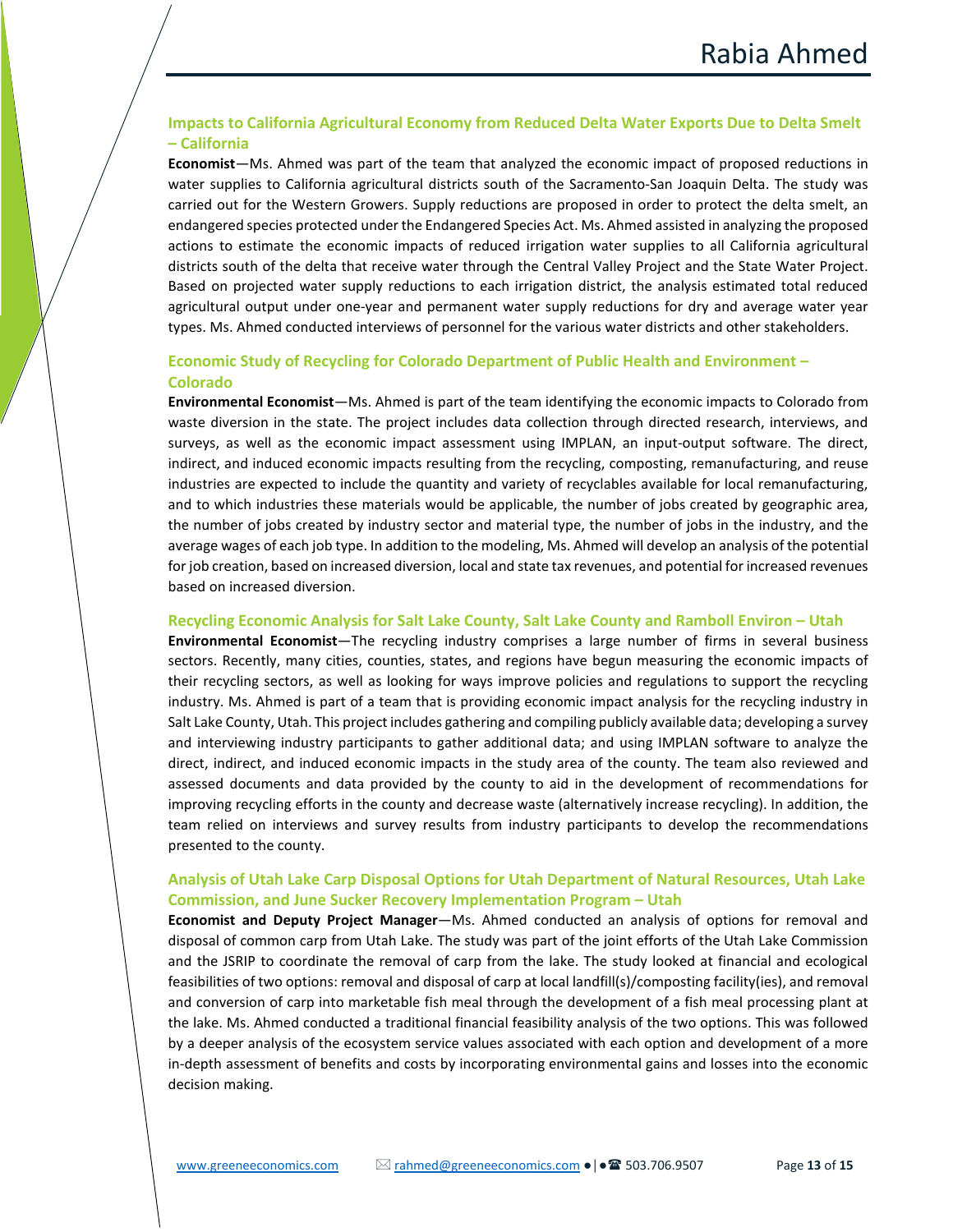# **Impacts to California Agricultural Economy from Reduced Delta Water Exports Due to Delta Smelt – California**

**Economist**—Ms. Ahmed was part of the team that analyzed the economic impact of proposed reductions in water supplies to California agricultural districts south of the Sacramento-San Joaquin Delta. The study was carried out for the Western Growers. Supply reductions are proposed in order to protect the delta smelt, an endangered species protected under the Endangered Species Act. Ms. Ahmed assisted in analyzing the proposed actions to estimate the economic impacts of reduced irrigation water supplies to all California agricultural districts south of the delta that receive water through the Central Valley Project and the State Water Project. Based on projected water supply reductions to each irrigation district, the analysis estimated total reduced agricultural output under one-year and permanent water supply reductions for dry and average water year types. Ms. Ahmed conducted interviews of personnel for the various water districts and other stakeholders.

# **Economic Study of Recycling for Colorado Department of Public Health and Environment – Colorado**

**Environmental Economist**—Ms. Ahmed is part of the team identifying the economic impacts to Colorado from waste diversion in the state. The project includes data collection through directed research, interviews, and surveys, as well as the economic impact assessment using IMPLAN, an input-output software. The direct, indirect, and induced economic impacts resulting from the recycling, composting, remanufacturing, and reuse industries are expected to include the quantity and variety of recyclables available for local remanufacturing, and to which industries these materials would be applicable, the number of jobs created by geographic area, the number of jobs created by industry sector and material type, the number of jobs in the industry, and the average wages of each job type. In addition to the modeling, Ms. Ahmed will develop an analysis of the potential for job creation, based on increased diversion, local and state tax revenues, and potential for increased revenues based on increased diversion.

#### **Recycling Economic Analysis for Salt Lake County, Salt Lake County and Ramboll Environ – Utah**

**Environmental Economist**—The recycling industry comprises a large number of firms in several business sectors. Recently, many cities, counties, states, and regions have begun measuring the economic impacts of their recycling sectors, as well as looking for ways improve policies and regulations to support the recycling industry. Ms. Ahmed is part of a team that is providing economic impact analysis for the recycling industry in Salt Lake County, Utah. This project includes gathering and compiling publicly available data; developing a survey and interviewing industry participants to gather additional data; and using IMPLAN software to analyze the direct, indirect, and induced economic impacts in the study area of the county. The team also reviewed and assessed documents and data provided by the county to aid in the development of recommendations for improving recycling efforts in the county and decrease waste (alternatively increase recycling). In addition, the team relied on interviews and survey results from industry participants to develop the recommendations presented to the county.

# **Analysis of Utah Lake Carp Disposal Options for Utah Department of Natural Resources, Utah Lake Commission, and June Sucker Recovery Implementation Program – Utah**

**Economist and Deputy Project Manager**—Ms. Ahmed conducted an analysis of options for removal and disposal of common carp from Utah Lake. The study was part of the joint efforts of the Utah Lake Commission and the JSRIP to coordinate the removal of carp from the lake. The study looked at financial and ecological feasibilities of two options: removal and disposal of carp at local landfill(s)/composting facility(ies), and removal and conversion of carp into marketable fish meal through the development of a fish meal processing plant at the lake. Ms. Ahmed conducted a traditional financial feasibility analysis of the two options. This was followed by a deeper analysis of the ecosystem service values associated with each option and development of a more in-depth assessment of benefits and costs by incorporating environmental gains and losses into the economic decision making.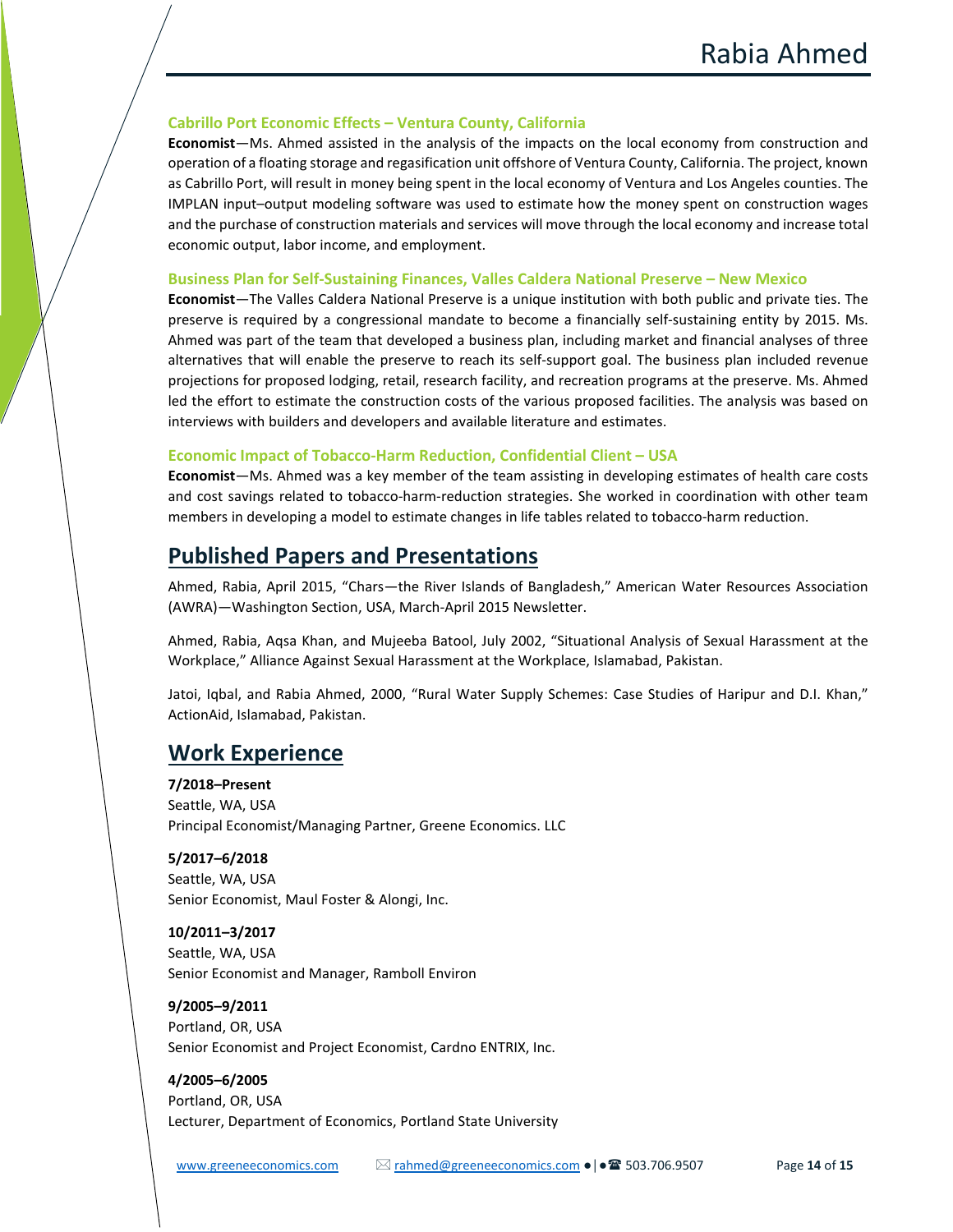#### **Cabrillo Port Economic Effects – Ventura County, California**

**Economist**—Ms. Ahmed assisted in the analysis of the impacts on the local economy from construction and operation of a floating storage and regasification unit offshore of Ventura County, California. The project, known as Cabrillo Port, will result in money being spent in the local economy of Ventura and Los Angeles counties. The IMPLAN input–output modeling software was used to estimate how the money spent on construction wages and the purchase of construction materials and services will move through the local economy and increase total economic output, labor income, and employment.

#### **Business Plan for Self-Sustaining Finances, Valles Caldera National Preserve – New Mexico**

**Economist**—The Valles Caldera National Preserve is a unique institution with both public and private ties. The preserve is required by a congressional mandate to become a financially self-sustaining entity by 2015. Ms. Ahmed was part of the team that developed a business plan, including market and financial analyses of three alternatives that will enable the preserve to reach its self-support goal. The business plan included revenue projections for proposed lodging, retail, research facility, and recreation programs at the preserve. Ms. Ahmed led the effort to estimate the construction costs of the various proposed facilities. The analysis was based on interviews with builders and developers and available literature and estimates.

#### **Economic Impact of Tobacco-Harm Reduction, Confidential Client – USA**

**Economist**—Ms. Ahmed was a key member of the team assisting in developing estimates of health care costs and cost savings related to tobacco-harm-reduction strategies. She worked in coordination with other team members in developing a model to estimate changes in life tables related to tobacco-harm reduction.

# **Published Papers and Presentations**

Ahmed, Rabia, April 2015, "Chars—the River Islands of Bangladesh," American Water Resources Association (AWRA)—Washington Section, USA, March-April 2015 Newsletter.

Ahmed, Rabia, Aqsa Khan, and Mujeeba Batool, July 2002, "Situational Analysis of Sexual Harassment at the Workplace," Alliance Against Sexual Harassment at the Workplace, Islamabad, Pakistan.

Jatoi, Iqbal, and Rabia Ahmed, 2000, "Rural Water Supply Schemes: Case Studies of Haripur and D.I. Khan," ActionAid, Islamabad, Pakistan.

# **Work Experience**

**7/2018–Present** Seattle, WA, USA Principal Economist/Managing Partner, Greene Economics. LLC

**5/2017–6/2018** Seattle, WA, USA Senior Economist, Maul Foster & Alongi, Inc.

**10/2011–3/2017** Seattle, WA, USA Senior Economist and Manager, Ramboll Environ

**9/2005–9/2011** Portland, OR, USA Senior Economist and Project Economist, Cardno ENTRIX, Inc.

**4/2005–6/2005** Portland, OR, USA Lecturer, Department of Economics, Portland State University